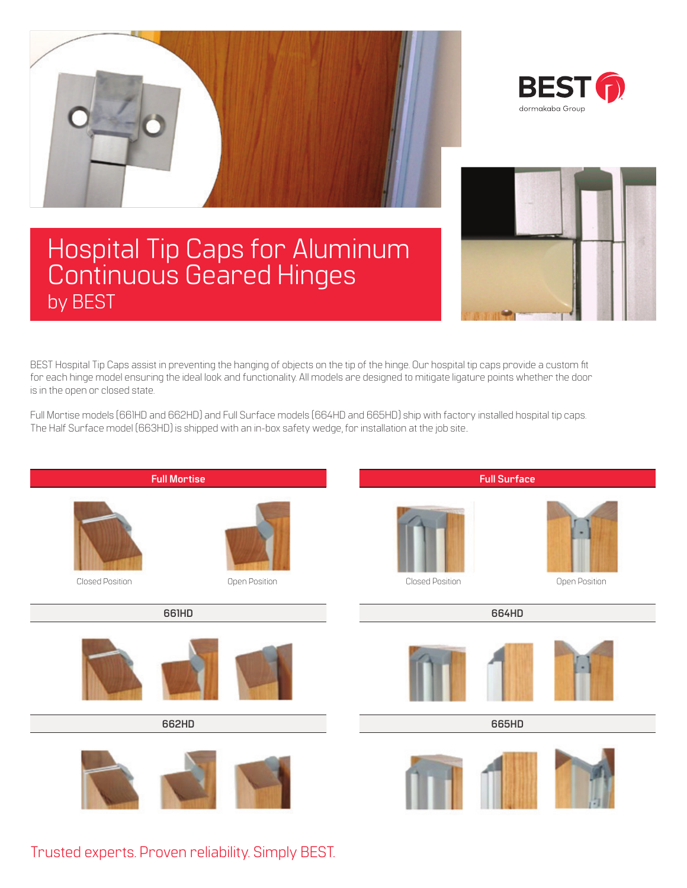



## Hospital Tip Caps for Aluminum Continuous Geared Hinges by BEST



BEST Hospital Tip Caps assist in preventing the hanging of objects on the tip of the hinge. Our hospital tip caps provide a custom fit for each hinge model ensuring the ideal look and functionality. All models are designed to mitigate ligature points whether the door is in the open or closed state.

Full Mortise models (661HD and 662HD) and Full Surface models (664HD and 665HD) ship with factory installed hospital tip caps. The Half Surface model (663HD) is shipped with an in-box safety wedge, for installation at the job site..



Trusted experts. Proven reliability. Simply BEST.